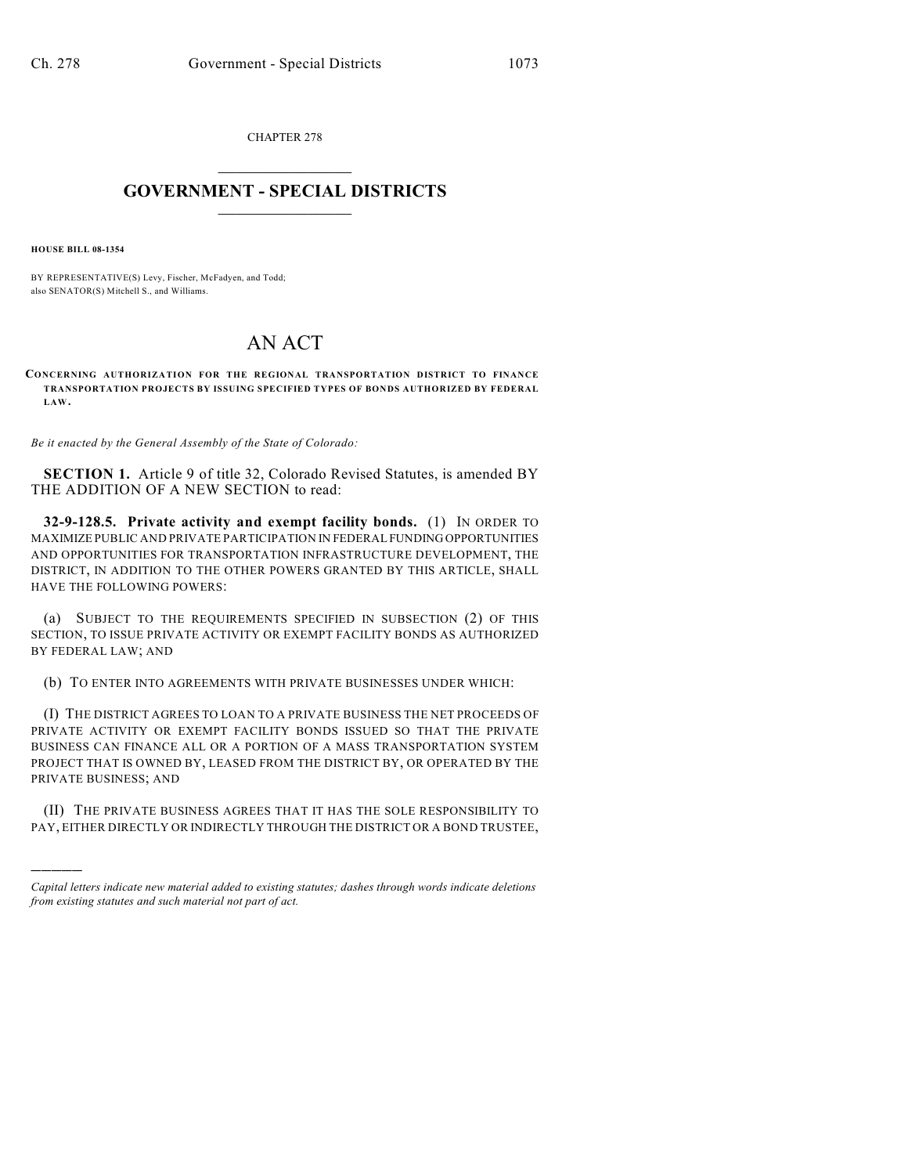CHAPTER 278  $\overline{\phantom{a}}$  . The set of the set of the set of the set of the set of the set of the set of the set of the set of the set of the set of the set of the set of the set of the set of the set of the set of the set of the set o

## **GOVERNMENT - SPECIAL DISTRICTS**  $\_$   $\_$

**HOUSE BILL 08-1354**

)))))

BY REPRESENTATIVE(S) Levy, Fischer, McFadyen, and Todd; also SENATOR(S) Mitchell S., and Williams.

## AN ACT

**CONCERNING AUTHORIZATION FOR THE REGIONAL TRANSPORTATION DISTRICT TO FINANCE TRANSPORTATION PROJECTS BY ISSUING SPECIFIED TYPES OF BONDS AUTHORIZED BY FEDERAL LAW.**

*Be it enacted by the General Assembly of the State of Colorado:*

**SECTION 1.** Article 9 of title 32, Colorado Revised Statutes, is amended BY THE ADDITION OF A NEW SECTION to read:

**32-9-128.5. Private activity and exempt facility bonds.** (1) IN ORDER TO MAXIMIZE PUBLIC AND PRIVATE PARTICIPATION IN FEDERAL FUNDING OPPORTUNITIES AND OPPORTUNITIES FOR TRANSPORTATION INFRASTRUCTURE DEVELOPMENT, THE DISTRICT, IN ADDITION TO THE OTHER POWERS GRANTED BY THIS ARTICLE, SHALL HAVE THE FOLLOWING POWERS:

(a) SUBJECT TO THE REQUIREMENTS SPECIFIED IN SUBSECTION (2) OF THIS SECTION, TO ISSUE PRIVATE ACTIVITY OR EXEMPT FACILITY BONDS AS AUTHORIZED BY FEDERAL LAW; AND

(b) TO ENTER INTO AGREEMENTS WITH PRIVATE BUSINESSES UNDER WHICH:

(I) THE DISTRICT AGREES TO LOAN TO A PRIVATE BUSINESS THE NET PROCEEDS OF PRIVATE ACTIVITY OR EXEMPT FACILITY BONDS ISSUED SO THAT THE PRIVATE BUSINESS CAN FINANCE ALL OR A PORTION OF A MASS TRANSPORTATION SYSTEM PROJECT THAT IS OWNED BY, LEASED FROM THE DISTRICT BY, OR OPERATED BY THE PRIVATE BUSINESS; AND

(II) THE PRIVATE BUSINESS AGREES THAT IT HAS THE SOLE RESPONSIBILITY TO PAY, EITHER DIRECTLY OR INDIRECTLY THROUGH THE DISTRICT OR A BOND TRUSTEE,

*Capital letters indicate new material added to existing statutes; dashes through words indicate deletions from existing statutes and such material not part of act.*